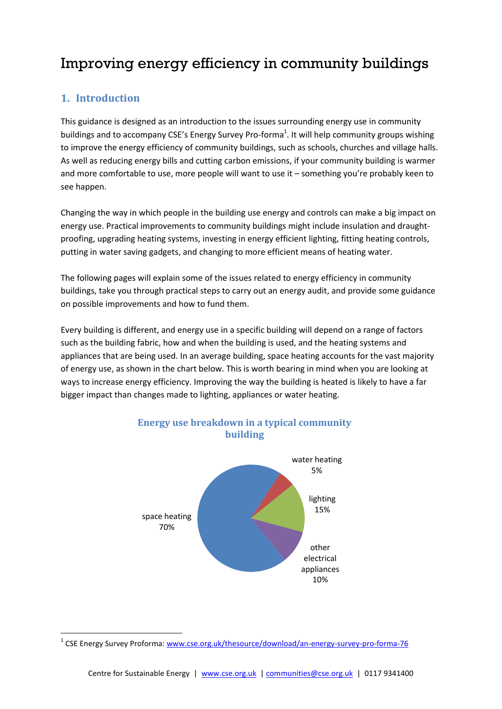# Improving energy efficiency in community buildings

# **1. Introduction**

1

This guidance is designed as an introduction to the issues surrounding energy use in community buildings and to accompany CSE's Energy Survey Pro-forma<sup>1</sup>. It will help community groups wishing to improve the energy efficiency of community buildings, such as schools, churches and village halls. As well as reducing energy bills and cutting carbon emissions, if your community building is warmer and more comfortable to use, more people will want to use it – something you're probably keen to see happen.

Changing the way in which people in the building use energy and controls can make a big impact on energy use. Practical improvements to community buildings might include insulation and draughtproofing, upgrading heating systems, investing in energy efficient lighting, fitting heating controls, putting in water saving gadgets, and changing to more efficient means of heating water.

The following pages will explain some of the issues related to energy efficiency in community buildings, take you through practical steps to carry out an energy audit, and provide some guidance on possible improvements and how to fund them.

Every building is different, and energy use in a specific building will depend on a range of factors such as the building fabric, how and when the building is used, and the heating systems and appliances that are being used. In an average building, space heating accounts for the vast majority of energy use, as shown in the chart below. This is worth bearing in mind when you are looking at ways to increase energy efficiency. Improving the way the building is heated is likely to have a far bigger impact than changes made to lighting, appliances or water heating.



**Energy use breakdown in a typical community building**

<sup>&</sup>lt;sup>1</sup> CSE Energy Survey Proforma: [www.cse.org.uk/thesource/download/an-energy-survey-pro-forma-76](http://www.cse.org.uk/thesource/download/an-energy-survey-pro-forma-76)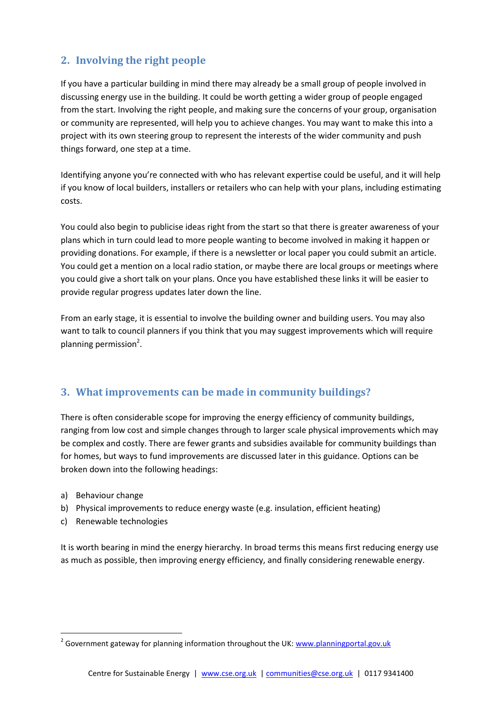# **2. Involving the right people**

If you have a particular building in mind there may already be a small group of people involved in discussing energy use in the building. It could be worth getting a wider group of people engaged from the start. Involving the right people, and making sure the concerns of your group, organisation or community are represented, will help you to achieve changes. You may want to make this into a project with its own steering group to represent the interests of the wider community and push things forward, one step at a time.

Identifying anyone you're connected with who has relevant expertise could be useful, and it will help if you know of local builders, installers or retailers who can help with your plans, including estimating costs.

You could also begin to publicise ideas right from the start so that there is greater awareness of your plans which in turn could lead to more people wanting to become involved in making it happen or providing donations. For example, if there is a newsletter or local paper you could submit an article. You could get a mention on a local radio station, or maybe there are local groups or meetings where you could give a short talk on your plans. Once you have established these links it will be easier to provide regular progress updates later down the line.

From an early stage, it is essential to involve the building owner and building users. You may also want to talk to council planners if you think that you may suggest improvements which will require planning permission<sup>2</sup>.

# **3. What improvements can be made in community buildings?**

There is often considerable scope for improving the energy efficiency of community buildings, ranging from low cost and simple changes through to larger scale physical improvements which may be complex and costly. There are fewer grants and subsidies available for community buildings than for homes, but ways to fund improvements are discussed later in this guidance. Options can be broken down into the following headings:

a) Behaviour change

1

- b) Physical improvements to reduce energy waste (e.g. insulation, efficient heating)
- c) Renewable technologies

It is worth bearing in mind the energy hierarchy. In broad terms this means first reducing energy use as much as possible, then improving energy efficiency, and finally considering renewable energy.

<sup>&</sup>lt;sup>2</sup> Government gateway for planning information throughout the UK: [www.planningportal.gov.uk](http://www.planningportal.gov.uk/)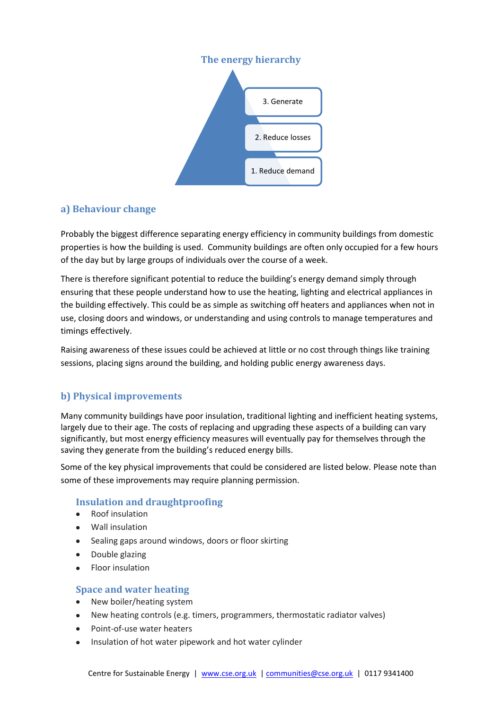

# **a) Behaviour change**

Probably the biggest difference separating energy efficiency in community buildings from domestic properties is how the building is used. Community buildings are often only occupied for a few hours of the day but by large groups of individuals over the course of a week.

There is therefore significant potential to reduce the building's energy demand simply through ensuring that these people understand how to use the heating, lighting and electrical appliances in the building effectively. This could be as simple as switching off heaters and appliances when not in use, closing doors and windows, or understanding and using controls to manage temperatures and timings effectively.

Raising awareness of these issues could be achieved at little or no cost through things like training sessions, placing signs around the building, and holding public energy awareness days.

# **b) Physical improvements**

Many community buildings have poor insulation, traditional lighting and inefficient heating systems, largely due to their age. The costs of replacing and upgrading these aspects of a building can vary significantly, but most energy efficiency measures will eventually pay for themselves through the saving they generate from the building's reduced energy bills.

Some of the key physical improvements that could be considered are listed below. Please note than some of these improvements may require planning permission.

# **Insulation and draughtproofing**

- Roof insulation  $\bullet$
- Wall insulation
- Sealing gaps around windows, doors or floor skirting  $\bullet$
- Double glazing  $\bullet$
- Floor insulation

#### **Space and water heating**

- New boiler/heating system  $\bullet$
- New heating controls (e.g. timers, programmers, thermostatic radiator valves)  $\bullet$
- Point-of-use water heaters  $\bullet$
- Insulation of hot water pipework and hot water cylinder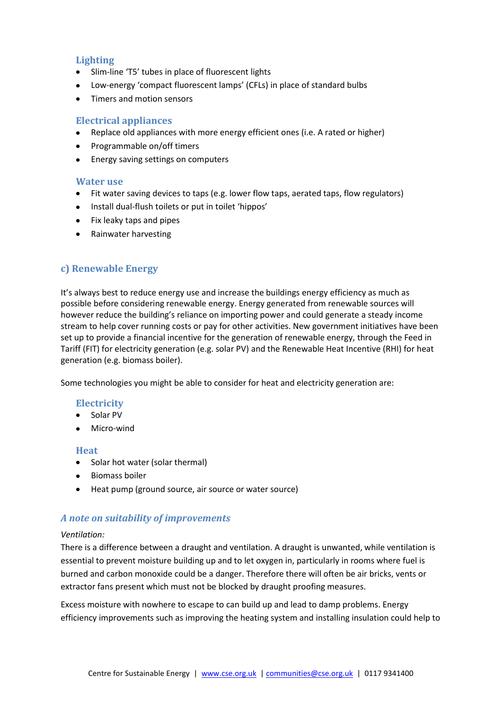### **Lighting**

- Slim-line 'T5' tubes in place of fluorescent lights
- Low-energy 'compact fluorescent lamps' (CFLs) in place of standard bulbs
- Timers and motion sensors

### **Electrical appliances**

- Replace old appliances with more energy efficient ones (i.e. A rated or higher)
- Programmable on/off timers
- **•** Energy saving settings on computers

#### **Water use**

- Fit water saving devices to taps (e.g. lower flow taps, aerated taps, flow regulators)
- Install dual-flush toilets or put in toilet 'hippos'
- Fix leaky taps and pipes
- Rainwater harvesting

# **c) Renewable Energy**

It's always best to reduce energy use and increase the buildings energy efficiency as much as possible before considering renewable energy. Energy generated from renewable sources will however reduce the building's reliance on importing power and could generate a steady income stream to help cover running costs or pay for other activities. New government initiatives have been set up to provide a financial incentive for the generation of renewable energy, through the Feed in Tariff (FIT) for electricity generation (e.g. solar PV) and the Renewable Heat Incentive (RHI) for heat generation (e.g. biomass boiler).

Some technologies you might be able to consider for heat and electricity generation are:

### **Electricity**

- Solar PV
- Micro-wind

#### **Heat**

- Solar hot water (solar thermal)
- $\bullet$  Biomass boiler
- Heat pump (ground source, air source or water source)

### *A note on suitability of improvements*

#### *Ventilation:*

There is a difference between a draught and ventilation. A draught is unwanted, while ventilation is essential to prevent moisture building up and to let oxygen in, particularly in rooms where fuel is burned and carbon monoxide could be a danger. Therefore there will often be air bricks, vents or extractor fans present which must not be blocked by draught proofing measures.

Excess moisture with nowhere to escape to can build up and lead to damp problems. Energy efficiency improvements such as improving the heating system and installing insulation could help to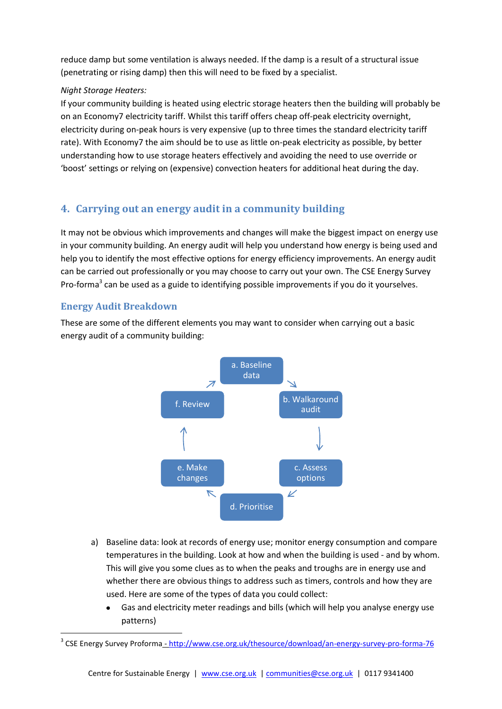reduce damp but some ventilation is always needed. If the damp is a result of a structural issue (penetrating or rising damp) then this will need to be fixed by a specialist.

### *Night Storage Heaters:*

If your community building is heated using electric storage heaters then the building will probably be on an Economy7 electricity tariff. Whilst this tariff offers cheap off-peak electricity overnight, electricity during on-peak hours is very expensive (up to three times the standard electricity tariff rate). With Economy7 the aim should be to use as little on-peak electricity as possible, by better understanding how to use storage heaters effectively and avoiding the need to use override or 'boost' settings or relying on (expensive) convection heaters for additional heat during the day.

# **4. Carrying out an energy audit in a community building**

It may not be obvious which improvements and changes will make the biggest impact on energy use in your community building. An energy audit will help you understand how energy is being used and help you to identify the most effective options for energy efficiency improvements. An energy audit can be carried out professionally or you may choose to carry out your own. The CSE Energy Survey Pro-forma<sup>3</sup> can be used as a guide to identifying possible improvements if you do it yourselves.

# **Energy Audit Breakdown**

1

These are some of the different elements you may want to consider when carrying out a basic energy audit of a community building:



- a) Baseline data: look at records of energy use; monitor energy consumption and compare temperatures in the building. Look at how and when the building is used - and by whom. This will give you some clues as to when the peaks and troughs are in energy use and whether there are obvious things to address such as timers, controls and how they are used. Here are some of the types of data you could collect:
	- Gas and electricity meter readings and bills (which will help you analyse energy use patterns)

<sup>&</sup>lt;sup>3</sup> CSE Energy Survey Proforma <u>- <http://www.cse.org.uk/thesource/download/an-energy-survey-pro-forma-76></u>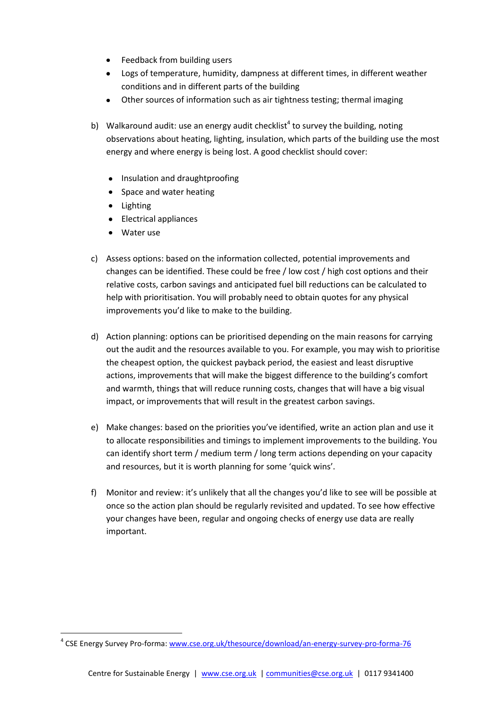- Feedback from building users
- Logs of temperature, humidity, dampness at different times, in different weather conditions and in different parts of the building
- Other sources of information such as air tightness testing; thermal imaging
- b) Walkaround audit: use an energy audit checklist<sup>4</sup> to survey the building, noting observations about heating, lighting, insulation, which parts of the building use the most energy and where energy is being lost. A good checklist should cover:
	- Insulation and draughtproofing
	- Space and water heating
	- Lighting
	- Electrical appliances
	- Water use

1

- c) Assess options: based on the information collected, potential improvements and changes can be identified. These could be free / low cost / high cost options and their relative costs, carbon savings and anticipated fuel bill reductions can be calculated to help with prioritisation. You will probably need to obtain quotes for any physical improvements you'd like to make to the building.
- d) Action planning: options can be prioritised depending on the main reasons for carrying out the audit and the resources available to you. For example, you may wish to prioritise the cheapest option, the quickest payback period, the easiest and least disruptive actions, improvements that will make the biggest difference to the building's comfort and warmth, things that will reduce running costs, changes that will have a big visual impact, or improvements that will result in the greatest carbon savings.
- e) Make changes: based on the priorities you've identified, write an action plan and use it to allocate responsibilities and timings to implement improvements to the building. You can identify short term / medium term / long term actions depending on your capacity and resources, but it is worth planning for some 'quick wins'.
- f) Monitor and review: it's unlikely that all the changes you'd like to see will be possible at once so the action plan should be regularly revisited and updated. To see how effective your changes have been, regular and ongoing checks of energy use data are really important.

<sup>&</sup>lt;sup>4</sup> CSE Energy Survey Pro-forma: [www.cse.org.uk/thesource/download/an-energy-survey-pro-forma-76](http://www.cse.org.uk/thesource/download/an-energy-survey-pro-forma-76)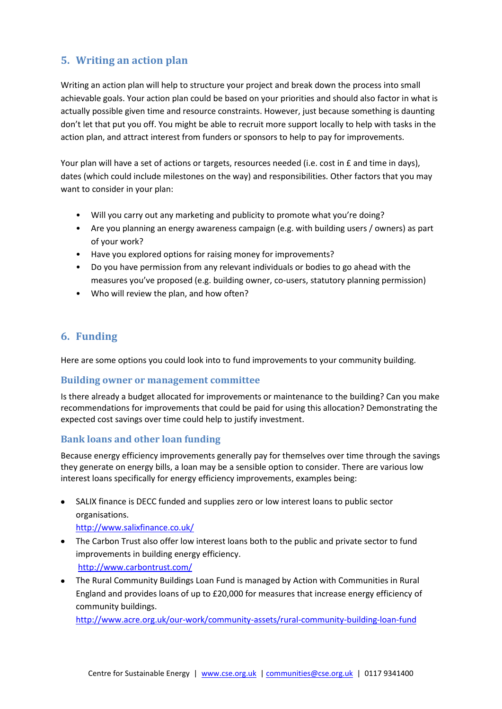# **5. Writing an action plan**

Writing an action plan will help to structure your project and break down the process into small achievable goals. Your action plan could be based on your priorities and should also factor in what is actually possible given time and resource constraints. However, just because something is daunting don't let that put you off. You might be able to recruit more support locally to help with tasks in the action plan, and attract interest from funders or sponsors to help to pay for improvements.

Your plan will have a set of actions or targets, resources needed (i.e. cost in £ and time in days), dates (which could include milestones on the way) and responsibilities. Other factors that you may want to consider in your plan:

- Will you carry out any marketing and publicity to promote what you're doing?
- Are you planning an energy awareness campaign (e.g. with building users / owners) as part of your work?
- Have you explored options for raising money for improvements?
- Do you have permission from any relevant individuals or bodies to go ahead with the measures you've proposed (e.g. building owner, co-users, statutory planning permission)
- Who will review the plan, and how often?

# **6. Funding**

Here are some options you could look into to fund improvements to your community building.

### **Building owner or management committee**

Is there already a budget allocated for improvements or maintenance to the building? Can you make recommendations for improvements that could be paid for using this allocation? Demonstrating the expected cost savings over time could help to justify investment.

### **Bank loans and other loan funding**

Because energy efficiency improvements generally pay for themselves over time through the savings they generate on energy bills, a loan may be a sensible option to consider. There are various low interest loans specifically for energy efficiency improvements, examples being:

- SALIX finance is DECC funded and supplies zero or low interest loans to public sector organisations. <http://www.salixfinance.co.uk/>
- The Carbon Trust also offer low interest loans both to the public and private sector to fund improvements in building energy efficiency. <http://www.carbontrust.com/>
- The Rural Community Buildings Loan Fund is managed by Action with Communities in Rural England and provides loans of up to £20,000 for measures that increase energy efficiency of community buildings.

<http://www.acre.org.uk/our-work/community-assets/rural-community-building-loan-fund>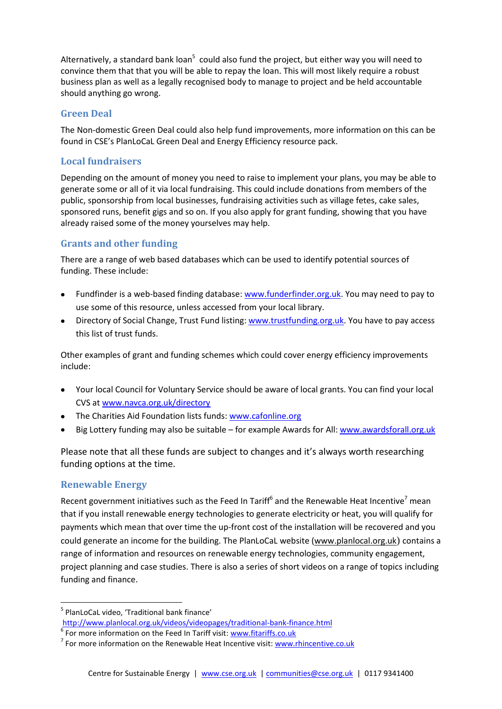Alternatively, a standard bank loan<sup>5</sup> could also fund the project, but either way you will need to convince them that that you will be able to repay the loan. This will most likely require a robust business plan as well as a legally recognised body to manage to project and be held accountable should anything go wrong.

### **Green Deal**

The Non-domestic Green Deal could also help fund improvements, more information on this can be found in CSE's PlanLoCaL Green Deal and Energy Efficiency resource pack.

### **Local fundraisers**

Depending on the amount of money you need to raise to implement your plans, you may be able to generate some or all of it via local fundraising. This could include donations from members of the public, sponsorship from local businesses, fundraising activities such as village fetes, cake sales, sponsored runs, benefit gigs and so on. If you also apply for grant funding, showing that you have already raised some of the money yourselves may help.

# **Grants and other funding**

There are a range of web based databases which can be used to identify potential sources of funding. These include:

- Fundfinder is a web-based finding database: [www.funderfinder.org.uk.](http://www.funderfinder.org.uk/) You may need to pay to use some of this resource, unless accessed from your local library.
- Directory of Social Change, Trust Fund listing: [www.trustfunding.org.uk.](http://www.trustfunding.org.uk/) You have to pay access this list of trust funds.

Other examples of grant and funding schemes which could cover energy efficiency improvements include:

- Your local Council for Voluntary Service should be aware of local grants. You can find your local CVS at [www.navca.org.uk/directory](http://www.navca.org.uk/directory)
- The Charities Aid Foundation lists funds: [www.cafonline.org](http://www.cafonline.org/)
- Big Lottery funding may also be suitable for example Awards for All: [www.awardsforall.org.uk](http://www.awardsforall.org.uk/)

Please note that all these funds are subject to changes and it's always worth researching funding options at the time.

### **Renewable Energy**

<u>.</u>

Recent government initiatives such as the Feed In Tariff<sup>6</sup> and the Renewable Heat Incentive<sup>7</sup> mean that if you install renewable energy technologies to generate electricity or heat, you will qualify for payments which mean that over time the up-front cost of the installation will be recovered and you could generate an income for the building. The PlanLoCaL website [\(www.planlocal.org.uk](http://www.planlocal.org.uk/)) contains a range of information and resources on renewable energy technologies, community engagement, project planning and case studies. There is also a series of short videos on a range of topics including funding and finance.

<sup>5</sup> PlanLoCaL video, 'Traditional bank finance'

<http://www.planlocal.org.uk/videos/videopages/traditional-bank-finance.html><br>
<sup>6</sup> For more information on the Feed In Tariff visit[: www.fitariffs.co.uk](http://www.fitariffs.co.uk/)

<sup>&</sup>lt;sup>7</sup> For more information on the Renewable Heat Incentive visit: **www.rhincentive.co.uk**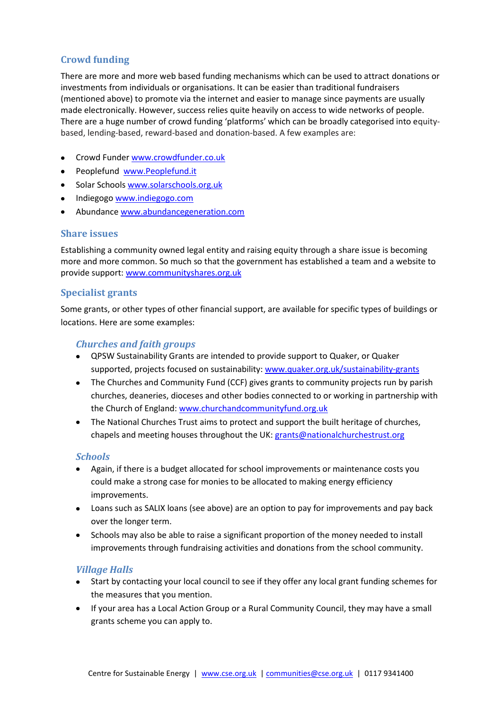# **Crowd funding**

There are more and more web based funding mechanisms which can be used to attract donations or investments from individuals or organisations. It can be easier than traditional fundraisers (mentioned above) to promote via the internet and easier to manage since payments are usually made electronically. However, success relies quite heavily on access to wide networks of people. There are a huge number of crowd funding 'platforms' which can be broadly categorised into equitybased, lending-based, reward-based and donation-based. A few examples are:

- Crowd Funder [www.crowdfunder.co.uk](http://www.crowdfunder.co.uk/)
- Peoplefund [www.Peoplefund.it](http://www.peoplefund.it/)
- Solar School[s www.solarschools.org.uk](http://www.solarschools.org.uk/)
- Indiegogo [www.indiegogo.com](http://www.indiegogo.com/)
- Abundance [www.abundancegeneration.com](http://www.abundancegeneration.com/)

### **Share issues**

Establishing a community owned legal entity and raising equity through a share issue is becoming more and more common. So much so that the government has established a team and a website to provide support: [www.communityshares.org.uk](http://www.communityshares.org.uk/)

### **Specialist grants**

Some grants, or other types of other financial support, are available for specific types of buildings or locations. Here are some examples:

### *Churches and faith groups*

- QPSW Sustainability Grants are intended to provide support to Quaker, or Quaker supported, projects focused on sustainability: [www.quaker.org.uk/sustainability-grants](http://www.quaker.org.uk/sustainability-grants)
- The Churches and Community Fund (CCF) gives grants to community projects run by parish churches, deaneries, dioceses and other bodies connected to or working in partnership with the Church of England: [www.churchandcommunityfund.org.uk](http://www.churchandcommunityfund.org.uk/)
- The National Churches Trust aims to protect and support the built heritage of churches, chapels and meeting houses throughout the UK: [grants@nationalchurchestrust.org](mailto:grants@nationalchurchestrust.org)

#### *Schools*

- Again, if there is a budget allocated for school improvements or maintenance costs you could make a strong case for monies to be allocated to making energy efficiency improvements.
- Loans such as SALIX loans (see above) are an option to pay for improvements and pay back over the longer term.
- Schools may also be able to raise a significant proportion of the money needed to install improvements through fundraising activities and donations from the school community.

### *Village Halls*

- Start by contacting your local council to see if they offer any local grant funding schemes for the measures that you mention.
- If your area has a Local Action Group or a Rural Community Council, they may have a small grants scheme you can apply to.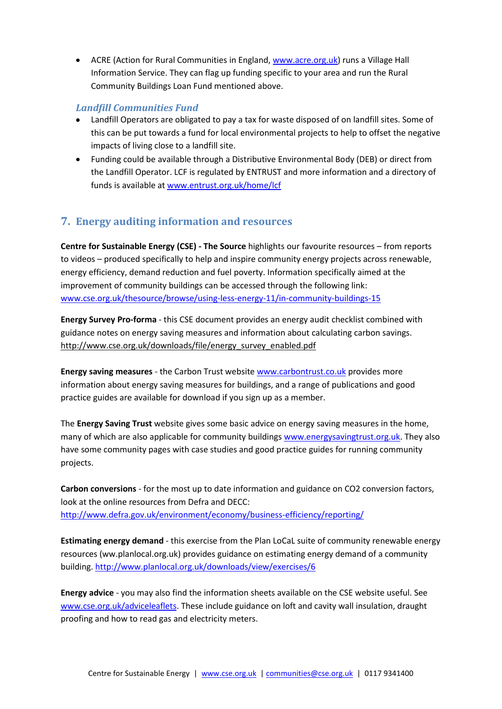ACRE (Action for Rural Communities in England[, www.acre.org.uk\)](http://www.acre.org.uk/) runs a Village Hall Information Service. They can flag up funding specific to your area and run the Rural Community Buildings Loan Fund mentioned above.

### *Landfill Communities Fund*

- Landfill Operators are obligated to pay a tax for waste disposed of on landfill sites. Some of this can be put towards a fund for local environmental projects to help to offset the negative impacts of living close to a landfill site.
- Funding could be available through a Distributive Environmental Body (DEB) or direct from the Landfill Operator. LCF is regulated by ENTRUST and more information and a directory of funds is available at [www.entrust.org.uk/home/lcf](http://www.entrust.org.uk/home/lcf)

# **7. Energy auditing information and resources**

**Centre for Sustainable Energy (CSE) - The Source** highlights our favourite resources – from reports to videos – produced specifically to help and inspire community energy projects across renewable, energy efficiency, demand reduction and fuel poverty. Information specifically aimed at the improvement of community buildings can be accessed through the following link: [www.cse.org.uk/thesource/browse/using-less-energy-11/in-community-buildings-15](http://www.cse.org.uk/thesource/browse/using-less-energy-11/in-community-buildings-15)

**Energy Survey Pro-forma** - this CSE document provides an energy audit checklist combined with guidance notes on energy saving measures and information about calculating carbon savings. [http://www.cse.org.uk/downloads/file/energy\\_survey\\_enabled.pdf](http://www.cse.org.uk/downloads/file/energy_survey_enabled.pdf)

**Energy saving measures** - the Carbon Trust websit[e www.carbontrust.co.uk](http://www.carbontrust.co.uk/) provides more information about energy saving measures for buildings, and a range of publications and good practice guides are available for download if you sign up as a member.

The **Energy Saving Trust** website gives some basic advice on energy saving measures in the home, many of which are also applicable for community buildings [www.energysavingtrust.org.uk.](http://www.energysavingtrust.org.uk/) They also have some community pages with case studies and good practice guides for running community projects.

**Carbon conversions** - for the most up to date information and guidance on CO2 conversion factors, look at the online resources from Defra and DECC: <http://www.defra.gov.uk/environment/economy/business-efficiency/reporting/>

**Estimating energy demand** - this exercise from the Plan LoCaL suite of community renewable energy resources (ww.planlocal.org.uk) provides guidance on estimating energy demand of a community building.<http://www.planlocal.org.uk/downloads/view/exercises/6>

**Energy advice** - you may also find the information sheets available on the CSE website useful. See [www.cse.org.uk/adviceleaflets.](http://www.cse.org.uk/adviceleaflets) These include guidance on loft and cavity wall insulation, draught proofing and how to read gas and electricity meters.